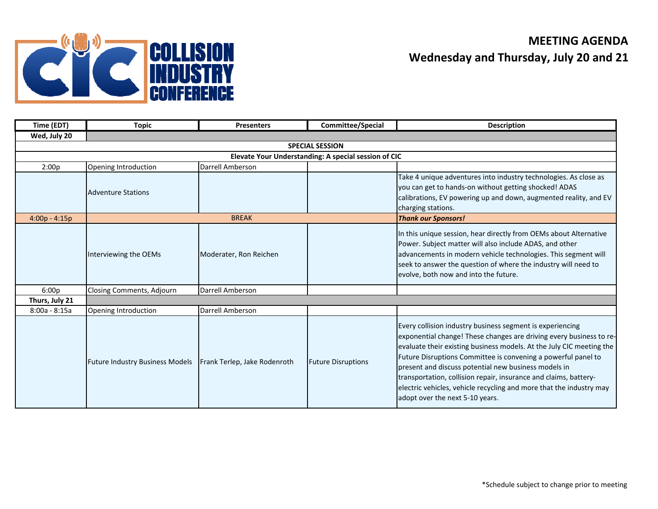

## **MEETING AGENDAWednesday and Thursday, July 20 and 21**

| Time (EDT)                                           | <b>Topic</b>                           | <b>Presenters</b>            | Committee/Special         | <b>Description</b>                                                                                                                                                                                                                                                                                                                                                                                                                                                                                              |  |  |  |  |
|------------------------------------------------------|----------------------------------------|------------------------------|---------------------------|-----------------------------------------------------------------------------------------------------------------------------------------------------------------------------------------------------------------------------------------------------------------------------------------------------------------------------------------------------------------------------------------------------------------------------------------------------------------------------------------------------------------|--|--|--|--|
| Wed, July 20                                         |                                        |                              |                           |                                                                                                                                                                                                                                                                                                                                                                                                                                                                                                                 |  |  |  |  |
| <b>SPECIAL SESSION</b>                               |                                        |                              |                           |                                                                                                                                                                                                                                                                                                                                                                                                                                                                                                                 |  |  |  |  |
| Elevate Your Understanding: A special session of CIC |                                        |                              |                           |                                                                                                                                                                                                                                                                                                                                                                                                                                                                                                                 |  |  |  |  |
| 2:00p                                                | Opening Introduction                   | Darrell Amberson             |                           |                                                                                                                                                                                                                                                                                                                                                                                                                                                                                                                 |  |  |  |  |
|                                                      | <b>Adventure Stations</b>              |                              |                           | Take 4 unique adventures into industry technologies. As close as<br>you can get to hands-on without getting shocked! ADAS<br>calibrations, EV powering up and down, augmented reality, and EV<br>charging stations.                                                                                                                                                                                                                                                                                             |  |  |  |  |
| $4:00p - 4:15p$                                      |                                        | <b>BREAK</b>                 |                           | <b>Thank our Sponsors!</b>                                                                                                                                                                                                                                                                                                                                                                                                                                                                                      |  |  |  |  |
|                                                      | Interviewing the OEMs                  | Moderater, Ron Reichen       |                           | In this unique session, hear directly from OEMs about Alternative<br>Power. Subject matter will also include ADAS, and other<br>advancements in modern vehicle technologies. This segment will<br>seek to answer the question of where the industry will need to<br>evolve, both now and into the future.                                                                                                                                                                                                       |  |  |  |  |
| 6:00p                                                | Closing Comments, Adjourn              | Darrell Amberson             |                           |                                                                                                                                                                                                                                                                                                                                                                                                                                                                                                                 |  |  |  |  |
| Thurs, July 21                                       |                                        |                              |                           |                                                                                                                                                                                                                                                                                                                                                                                                                                                                                                                 |  |  |  |  |
| $8:00a - 8:15a$                                      | Opening Introduction                   | Darrell Amberson             |                           |                                                                                                                                                                                                                                                                                                                                                                                                                                                                                                                 |  |  |  |  |
|                                                      | <b>Future Industry Business Models</b> | Frank Terlep, Jake Rodenroth | <b>Future Disruptions</b> | Every collision industry business segment is experiencing<br>exponential change! These changes are driving every business to re-<br>evaluate their existing business models. At the July CIC meeting the<br>Future Disruptions Committee is convening a powerful panel to<br>present and discuss potential new business models in<br>transportation, collision repair, insurance and claims, battery-<br>electric vehicles, vehicle recycling and more that the industry may<br>adopt over the next 5-10 years. |  |  |  |  |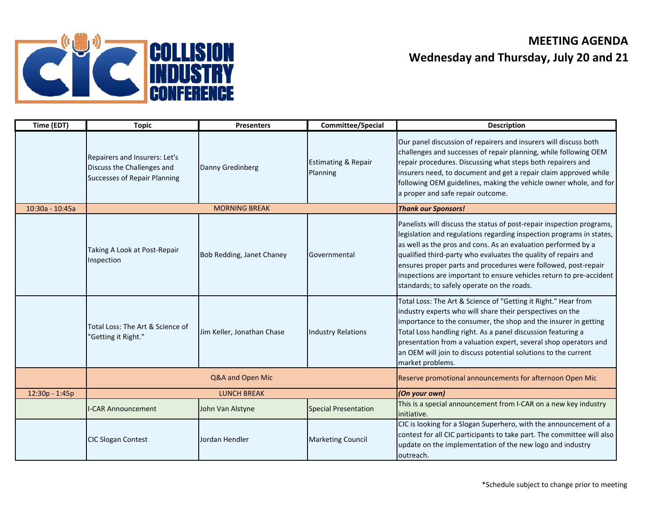

## **MEETING AGENDAWednesday and Thursday, July 20 and 21**

| Time (EDT)      | <b>Topic</b>                                                                                       | <b>Presenters</b>          | Committee/Special                                        | <b>Description</b>                                                                                                                                                                                                                                                                                                                                                                                                                                                      |
|-----------------|----------------------------------------------------------------------------------------------------|----------------------------|----------------------------------------------------------|-------------------------------------------------------------------------------------------------------------------------------------------------------------------------------------------------------------------------------------------------------------------------------------------------------------------------------------------------------------------------------------------------------------------------------------------------------------------------|
|                 | Repairers and Insurers: Let's<br>Discuss the Challenges and<br><b>Successes of Repair Planning</b> | Danny Gredinberg           | <b>Estimating &amp; Repair</b><br>Planning               | Our panel discussion of repairers and insurers will discuss both<br>challenges and successes of repair planning, while following OEM<br>repair procedures. Discussing what steps both repairers and<br>insurers need, to document and get a repair claim approved while<br>following OEM guidelines, making the vehicle owner whole, and for<br>a proper and safe repair outcome.                                                                                       |
| 10:30a - 10:45a |                                                                                                    | <b>MORNING BREAK</b>       |                                                          | <b>Thank our Sponsors!</b>                                                                                                                                                                                                                                                                                                                                                                                                                                              |
|                 | Taking A Look at Post-Repair<br>Inspection                                                         | Bob Redding, Janet Chaney  | Governmental                                             | Panelists will discuss the status of post-repair inspection programs,<br>legislation and regulations regarding inspection programs in states,<br>as well as the pros and cons. As an evaluation performed by a<br>qualified third-party who evaluates the quality of repairs and<br>ensures proper parts and procedures were followed, post-repair<br>inspections are important to ensure vehicles return to pre-accident<br>standards; to safely operate on the roads. |
|                 | Total Loss: The Art & Science of<br>"Getting it Right."                                            | Jim Keller, Jonathan Chase | <b>Industry Relations</b>                                | Total Loss: The Art & Science of "Getting it Right." Hear from<br>industry experts who will share their perspectives on the<br>importance to the consumer, the shop and the insurer in getting<br>Total Loss handling right. As a panel discussion featuring a<br>presentation from a valuation expert, several shop operators and<br>an OEM will join to discuss potential solutions to the current<br>market problems.                                                |
|                 |                                                                                                    | Q&A and Open Mic           | Reserve promotional announcements for afternoon Open Mic |                                                                                                                                                                                                                                                                                                                                                                                                                                                                         |
| 12:30p - 1:45p  | <b>LUNCH BREAK</b>                                                                                 |                            |                                                          | (On your own)                                                                                                                                                                                                                                                                                                                                                                                                                                                           |
|                 | <b>I-CAR Announcement</b>                                                                          | John Van Alstyne           | <b>Special Presentation</b>                              | This is a special announcement from I-CAR on a new key industry<br>initiative.                                                                                                                                                                                                                                                                                                                                                                                          |
|                 | <b>CIC Slogan Contest</b>                                                                          | Jordan Hendler             | <b>Marketing Council</b>                                 | CIC is looking for a Slogan Superhero, with the announcement of a<br>contest for all CIC participants to take part. The committee will also<br>update on the implementation of the new logo and industry<br>outreach.                                                                                                                                                                                                                                                   |